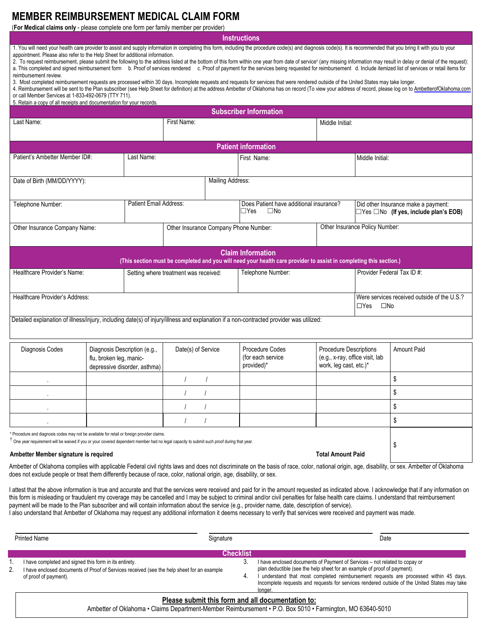## **MEMBER REIMBURSEMENT MEDICAL CLAIM FORM**

(**For Medical claims only** - please complete one form per family member per provider)

**Instructions**

1. You will need your health care provider to assist and supply information in completing this form, including the procedure code(s) and diagnosis code(s). It is recommended that you bring it with you to your appointment. Please also refer to the Help Sheet for additional information.

2. To request reimbursement, please submit the following to the address listed at the bottom of this form within one year from date of service† (any missing information may result in delay or denial of the request): a. This completed and signed reimbursement form b. Proof of services rendered c. Proof of payment for the services being requested for reimbursement d. Include itemized list of services or retail items for reimbursement review.

3. Most completed reimbursement requests are processed within 30 days. Incomplete requests and requests for services that were rendered outside of the United States may take longer.

4. Reimbursement will be sent to the Plan subscriber (see Help Sheet for definition) at the address Ambetter of Oklahoma has on record (To view your address of record, please log on to [AmbetterofOklahoma.com](http://www.AmbetterofOklahoma.com) or call Member Services at 1-833-492-0679 (TTY 711).

5. Retain a copy of all receipts and documentation for your records.

| <b>Subscriber Information</b>                                                                                                                                                                                                              |                                                                                         |  |                                       |                                       |                                                                       |                                                                                     |                                                                                          |                    |  |
|--------------------------------------------------------------------------------------------------------------------------------------------------------------------------------------------------------------------------------------------|-----------------------------------------------------------------------------------------|--|---------------------------------------|---------------------------------------|-----------------------------------------------------------------------|-------------------------------------------------------------------------------------|------------------------------------------------------------------------------------------|--------------------|--|
| Last Name:                                                                                                                                                                                                                                 |                                                                                         |  | First Name:                           |                                       |                                                                       | Middle Initial:                                                                     |                                                                                          |                    |  |
| <b>Patient information</b>                                                                                                                                                                                                                 |                                                                                         |  |                                       |                                       |                                                                       |                                                                                     |                                                                                          |                    |  |
| Patient's Ambetter Member ID#:<br>Last Name:                                                                                                                                                                                               |                                                                                         |  |                                       |                                       | First Name:                                                           |                                                                                     | Middle Initial:                                                                          |                    |  |
| <b>Mailing Address:</b><br>Date of Birth (MM/DD/YYYY):                                                                                                                                                                                     |                                                                                         |  |                                       |                                       |                                                                       |                                                                                     |                                                                                          |                    |  |
| Patient Email Address:<br>Telephone Number:                                                                                                                                                                                                |                                                                                         |  |                                       |                                       | Does Patient have additional insurance?<br>$\Box$ Yes<br>$\square$ No |                                                                                     | Did other Insurance make a payment:<br>$\Box$ Yes $\Box$ No (If yes, include plan's EOB) |                    |  |
| Other Insurance Company Name:                                                                                                                                                                                                              |                                                                                         |  |                                       | Other Insurance Company Phone Number: |                                                                       |                                                                                     | Other Insurance Policy Number:                                                           |                    |  |
| <b>Claim Information</b><br>(This section must be completed and you will need your health care provider to assist in completing this section.)                                                                                             |                                                                                         |  |                                       |                                       |                                                                       |                                                                                     |                                                                                          |                    |  |
| Healthcare Provider's Name:                                                                                                                                                                                                                |                                                                                         |  | Setting where treatment was received: |                                       | Telephone Number:                                                     |                                                                                     | Provider Federal Tax ID#:                                                                |                    |  |
| Healthcare Provider's Address:                                                                                                                                                                                                             |                                                                                         |  |                                       |                                       |                                                                       | Were services received outside of the U.S.?<br>$\Box$ Yes<br>$\square$ No           |                                                                                          |                    |  |
| Detailed explanation of illness/injury, including date(s) of injury/illness and explanation if a non-contracted provider was utilized:                                                                                                     |                                                                                         |  |                                       |                                       |                                                                       |                                                                                     |                                                                                          |                    |  |
| Diagnosis Codes                                                                                                                                                                                                                            | Diagnosis Description (e.g.,<br>flu, broken leg, manic-<br>depressive disorder, asthma) |  | Date(s) of Service                    |                                       | Procedure Codes<br>(for each service<br>provided)*                    | Procedure Descriptions<br>(e.g., x-ray, office visit, lab<br>work, leg cast, etc.)* |                                                                                          | <b>Amount Paid</b> |  |
|                                                                                                                                                                                                                                            |                                                                                         |  |                                       |                                       |                                                                       |                                                                                     |                                                                                          | \$                 |  |
|                                                                                                                                                                                                                                            |                                                                                         |  |                                       |                                       |                                                                       |                                                                                     |                                                                                          | \$                 |  |
|                                                                                                                                                                                                                                            |                                                                                         |  |                                       |                                       |                                                                       |                                                                                     |                                                                                          | \$                 |  |
|                                                                                                                                                                                                                                            |                                                                                         |  | $\prime$                              |                                       |                                                                       |                                                                                     |                                                                                          | \$                 |  |
| Procedure and diagnosis codes may not be available for retail or foreign provider claims.<br>.<br>One year requirement will be waived if you or your covered dependent member had no legal capacity to submit such proof during that year. |                                                                                         |  |                                       |                                       |                                                                       |                                                                                     |                                                                                          | \$                 |  |
| Ambetter Member signature is required<br><b>Total Amount Paid</b>                                                                                                                                                                          |                                                                                         |  |                                       |                                       |                                                                       |                                                                                     |                                                                                          |                    |  |

Ambetter of Oklahoma complies with applicable Federal civil rights laws and does not discriminate on the basis of race, color, national origin, age, disability, or sex. Ambetter of Oklahoma does not exclude people or treat them differently because of race, color, national origin, age, disability, or sex.

I attest that the above information is true and accurate and that the services were received and paid for in the amount requested as indicated above. I acknowledge that if any information on this form is misleading or fraudulent my coverage may be cancelled and I may be subject to criminal and/or civil penalties for false health care claims. I understand that reimbursement payment will be made to the Plan subscriber and will contain information about the service (e.g., provider name, date, description of service).

I also understand that Ambetter of Oklahoma may request any additional information it deems necessary to verify that services were received and payment was made.

| <b>Printed Name</b> |                                                                                                                     |                         | Date                                                                                                                                                                                                                                                                       |  |  |  |  |
|---------------------|---------------------------------------------------------------------------------------------------------------------|-------------------------|----------------------------------------------------------------------------------------------------------------------------------------------------------------------------------------------------------------------------------------------------------------------------|--|--|--|--|
|                     | I have completed and signed this form in its entirety.                                                              | <b>Checklist</b><br>-3. | I have enclosed documents of Payment of Services - not related to copay or                                                                                                                                                                                                 |  |  |  |  |
| 2.                  | I have enclosed documents of Proof of Services received (see the help sheet for an example<br>of proof of payment). |                         | plan deductible (see the help sheet for an example of proof of payment).<br>understand that most completed reimbursement requests are processed within 45 days.<br>Incomplete requests and requests for services rendered outside of the United States may take<br>longer. |  |  |  |  |
|                     | Please submit this form and all documentation to:                                                                   |                         |                                                                                                                                                                                                                                                                            |  |  |  |  |

Ambetter of Oklahoma • Claims Department-Member Reimbursement • P.O. Box 5010 • Farmington, MO 63640-5010